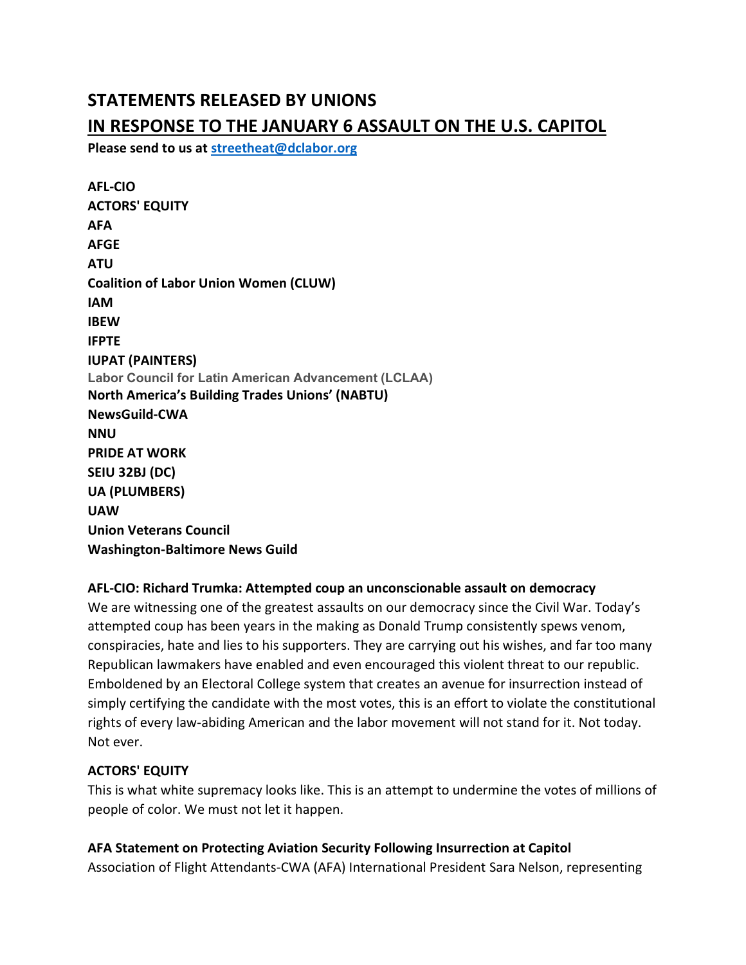# STATEMENTS RELEASED BY UNIONS IN RESPONSE TO THE JANUARY 6 ASSAULT ON THE U.S. CAPITOL

Please send to us at streetheat@dclabor.org

AFL-CIO ACTORS' EQUITY AFA AFGE ATU Coalition of Labor Union Women (CLUW) IAM IBEW IFPTE IUPAT (PAINTERS) Labor Council for Latin American Advancement (LCLAA) North America's Building Trades Unions' (NABTU) NewsGuild-CWA **NNU** PRIDE AT WORK SEIU 32BJ (DC) UA (PLUMBERS) UAW Union Veterans Council Washington-Baltimore News Guild

#### AFL-CIO: Richard Trumka: Attempted coup an unconscionable assault on democracy

We are witnessing one of the greatest assaults on our democracy since the Civil War. Today's attempted coup has been years in the making as Donald Trump consistently spews venom, conspiracies, hate and lies to his supporters. They are carrying out his wishes, and far too many Republican lawmakers have enabled and even encouraged this violent threat to our republic. Emboldened by an Electoral College system that creates an avenue for insurrection instead of simply certifying the candidate with the most votes, this is an effort to violate the constitutional rights of every law-abiding American and the labor movement will not stand for it. Not today. Not ever.

#### ACTORS' EQUITY

This is what white supremacy looks like. This is an attempt to undermine the votes of millions of people of color. We must not let it happen.

AFA Statement on Protecting Aviation Security Following Insurrection at Capitol Association of Flight Attendants-CWA (AFA) International President Sara Nelson, representing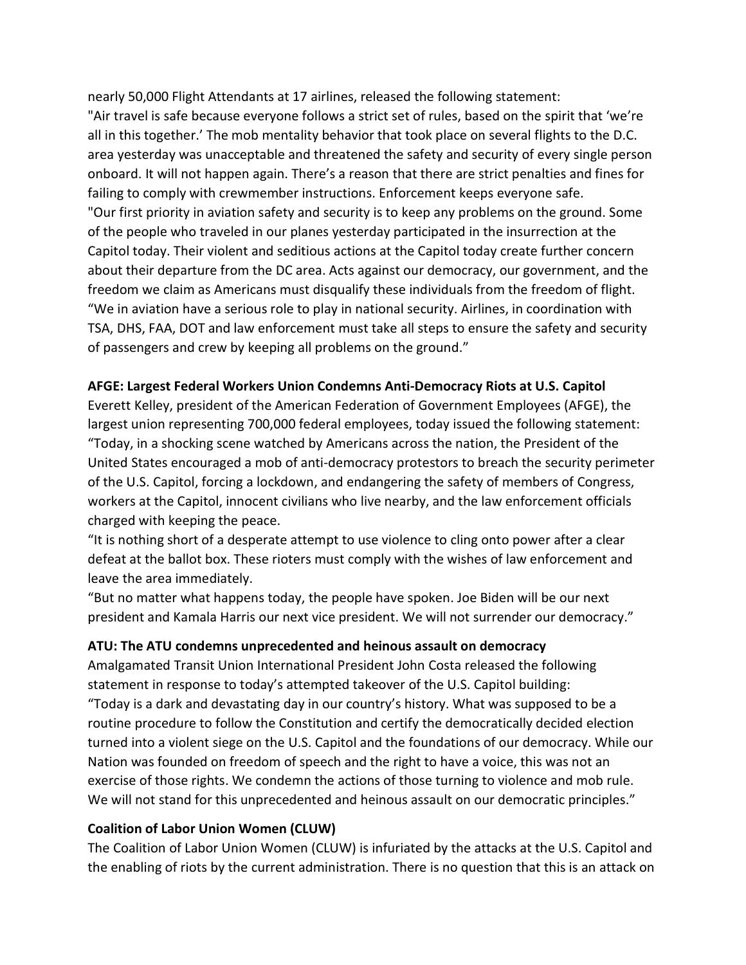nearly 50,000 Flight Attendants at 17 airlines, released the following statement: "Air travel is safe because everyone follows a strict set of rules, based on the spirit that 'we're all in this together.' The mob mentality behavior that took place on several flights to the D.C. area yesterday was unacceptable and threatened the safety and security of every single person onboard. It will not happen again. There's a reason that there are strict penalties and fines for failing to comply with crewmember instructions. Enforcement keeps everyone safe. "Our first priority in aviation safety and security is to keep any problems on the ground. Some of the people who traveled in our planes yesterday participated in the insurrection at the Capitol today. Their violent and seditious actions at the Capitol today create further concern about their departure from the DC area. Acts against our democracy, our government, and the freedom we claim as Americans must disqualify these individuals from the freedom of flight. "We in aviation have a serious role to play in national security. Airlines, in coordination with TSA, DHS, FAA, DOT and law enforcement must take all steps to ensure the safety and security of passengers and crew by keeping all problems on the ground."

#### AFGE: Largest Federal Workers Union Condemns Anti-Democracy Riots at U.S. Capitol

Everett Kelley, president of the American Federation of Government Employees (AFGE), the largest union representing 700,000 federal employees, today issued the following statement: "Today, in a shocking scene watched by Americans across the nation, the President of the United States encouraged a mob of anti-democracy protestors to breach the security perimeter of the U.S. Capitol, forcing a lockdown, and endangering the safety of members of Congress, workers at the Capitol, innocent civilians who live nearby, and the law enforcement officials charged with keeping the peace.

"It is nothing short of a desperate attempt to use violence to cling onto power after a clear defeat at the ballot box. These rioters must comply with the wishes of law enforcement and leave the area immediately.

"But no matter what happens today, the people have spoken. Joe Biden will be our next president and Kamala Harris our next vice president. We will not surrender our democracy."

#### ATU: The ATU condemns unprecedented and heinous assault on democracy

Amalgamated Transit Union International President John Costa released the following statement in response to today's attempted takeover of the U.S. Capitol building: "Today is a dark and devastating day in our country's history. What was supposed to be a routine procedure to follow the Constitution and certify the democratically decided election turned into a violent siege on the U.S. Capitol and the foundations of our democracy. While our Nation was founded on freedom of speech and the right to have a voice, this was not an exercise of those rights. We condemn the actions of those turning to violence and mob rule. We will not stand for this unprecedented and heinous assault on our democratic principles."

#### Coalition of Labor Union Women (CLUW)

The Coalition of Labor Union Women (CLUW) is infuriated by the attacks at the U.S. Capitol and the enabling of riots by the current administration. There is no question that this is an attack on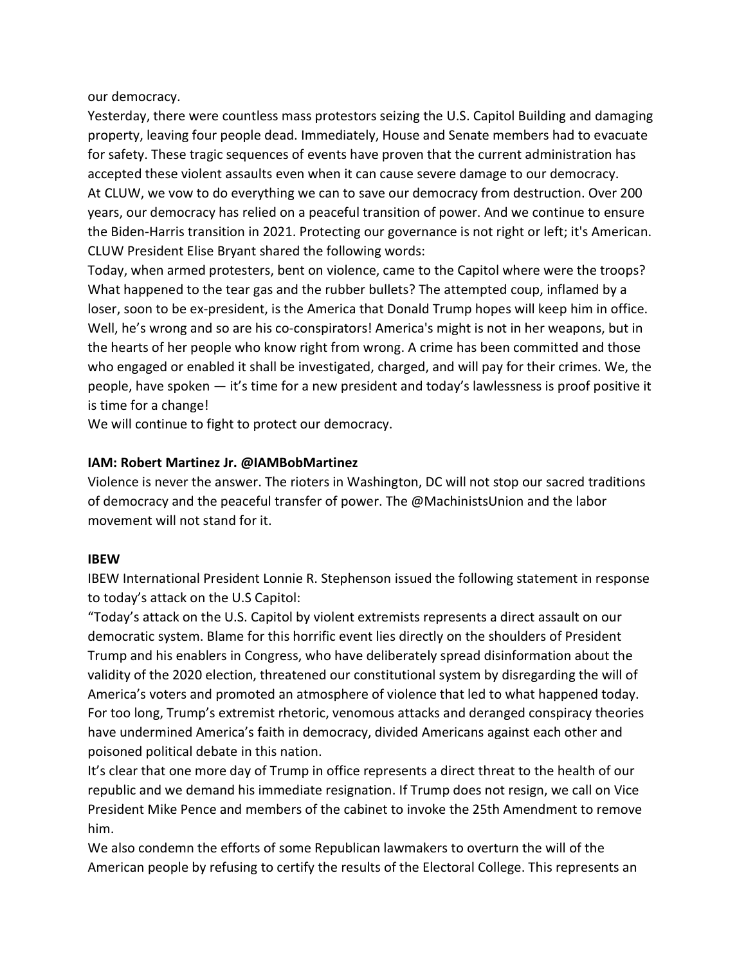our democracy.

Yesterday, there were countless mass protestors seizing the U.S. Capitol Building and damaging property, leaving four people dead. Immediately, House and Senate members had to evacuate for safety. These tragic sequences of events have proven that the current administration has accepted these violent assaults even when it can cause severe damage to our democracy. At CLUW, we vow to do everything we can to save our democracy from destruction. Over 200 years, our democracy has relied on a peaceful transition of power. And we continue to ensure the Biden-Harris transition in 2021. Protecting our governance is not right or left; it's American. CLUW President Elise Bryant shared the following words:

Today, when armed protesters, bent on violence, came to the Capitol where were the troops? What happened to the tear gas and the rubber bullets? The attempted coup, inflamed by a loser, soon to be ex-president, is the America that Donald Trump hopes will keep him in office. Well, he's wrong and so are his co-conspirators! America's might is not in her weapons, but in the hearts of her people who know right from wrong. A crime has been committed and those who engaged or enabled it shall be investigated, charged, and will pay for their crimes. We, the people, have spoken — it's time for a new president and today's lawlessness is proof positive it is time for a change!

We will continue to fight to protect our democracy.

### IAM: Robert Martinez Jr. @IAMBobMartinez

Violence is never the answer. The rioters in Washington, DC will not stop our sacred traditions of democracy and the peaceful transfer of power. The @MachinistsUnion and the labor movement will not stand for it.

#### IBEW

IBEW International President Lonnie R. Stephenson issued the following statement in response to today's attack on the U.S Capitol:

"Today's attack on the U.S. Capitol by violent extremists represents a direct assault on our democratic system. Blame for this horrific event lies directly on the shoulders of President Trump and his enablers in Congress, who have deliberately spread disinformation about the validity of the 2020 election, threatened our constitutional system by disregarding the will of America's voters and promoted an atmosphere of violence that led to what happened today. For too long, Trump's extremist rhetoric, venomous attacks and deranged conspiracy theories have undermined America's faith in democracy, divided Americans against each other and poisoned political debate in this nation.

It's clear that one more day of Trump in office represents a direct threat to the health of our republic and we demand his immediate resignation. If Trump does not resign, we call on Vice President Mike Pence and members of the cabinet to invoke the 25th Amendment to remove him.

We also condemn the efforts of some Republican lawmakers to overturn the will of the American people by refusing to certify the results of the Electoral College. This represents an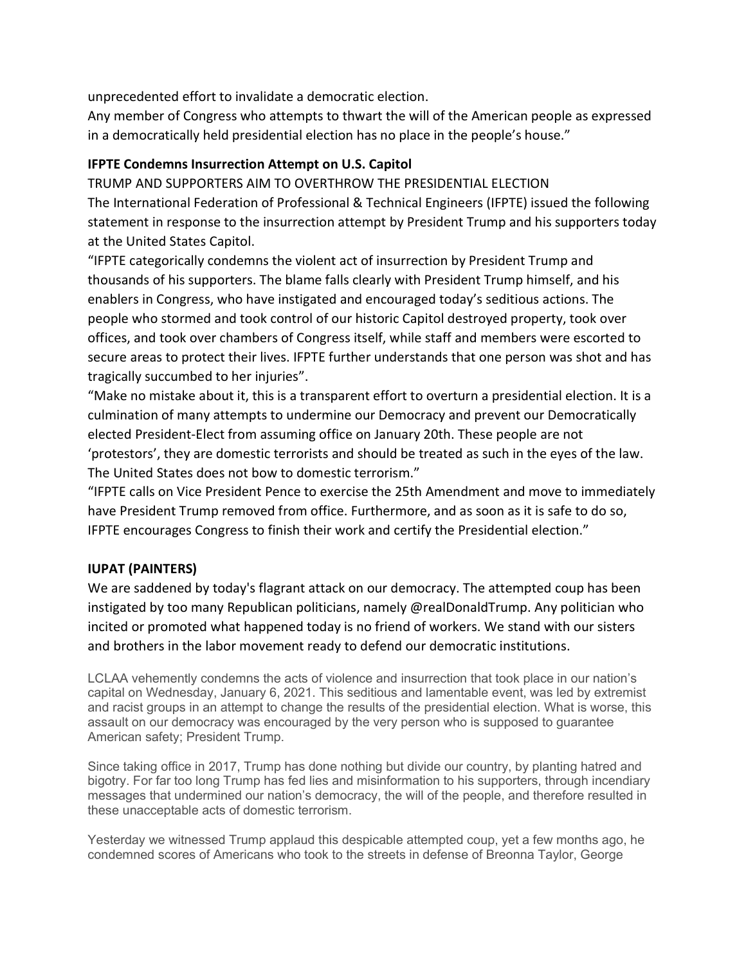unprecedented effort to invalidate a democratic election.

Any member of Congress who attempts to thwart the will of the American people as expressed in a democratically held presidential election has no place in the people's house."

# IFPTE Condemns Insurrection Attempt on U.S. Capitol

TRUMP AND SUPPORTERS AIM TO OVERTHROW THE PRESIDENTIAL ELECTION The International Federation of Professional & Technical Engineers (IFPTE) issued the following statement in response to the insurrection attempt by President Trump and his supporters today at the United States Capitol.

"IFPTE categorically condemns the violent act of insurrection by President Trump and thousands of his supporters. The blame falls clearly with President Trump himself, and his enablers in Congress, who have instigated and encouraged today's seditious actions. The people who stormed and took control of our historic Capitol destroyed property, took over offices, and took over chambers of Congress itself, while staff and members were escorted to secure areas to protect their lives. IFPTE further understands that one person was shot and has tragically succumbed to her injuries".

"Make no mistake about it, this is a transparent effort to overturn a presidential election. It is a culmination of many attempts to undermine our Democracy and prevent our Democratically elected President-Elect from assuming office on January 20th. These people are not 'protestors', they are domestic terrorists and should be treated as such in the eyes of the law. The United States does not bow to domestic terrorism."

"IFPTE calls on Vice President Pence to exercise the 25th Amendment and move to immediately have President Trump removed from office. Furthermore, and as soon as it is safe to do so, IFPTE encourages Congress to finish their work and certify the Presidential election."

# IUPAT (PAINTERS)

We are saddened by today's flagrant attack on our democracy. The attempted coup has been instigated by too many Republican politicians, namely @realDonaldTrump. Any politician who incited or promoted what happened today is no friend of workers. We stand with our sisters and brothers in the labor movement ready to defend our democratic institutions.

LCLAA vehemently condemns the acts of violence and insurrection that took place in our nation's capital on Wednesday, January 6, 2021. This seditious and lamentable event, was led by extremist and racist groups in an attempt to change the results of the presidential election. What is worse, this assault on our democracy was encouraged by the very person who is supposed to guarantee American safety; President Trump.

Since taking office in 2017, Trump has done nothing but divide our country, by planting hatred and bigotry. For far too long Trump has fed lies and misinformation to his supporters, through incendiary messages that undermined our nation's democracy, the will of the people, and therefore resulted in these unacceptable acts of domestic terrorism.

Yesterday we witnessed Trump applaud this despicable attempted coup, yet a few months ago, he condemned scores of Americans who took to the streets in defense of Breonna Taylor, George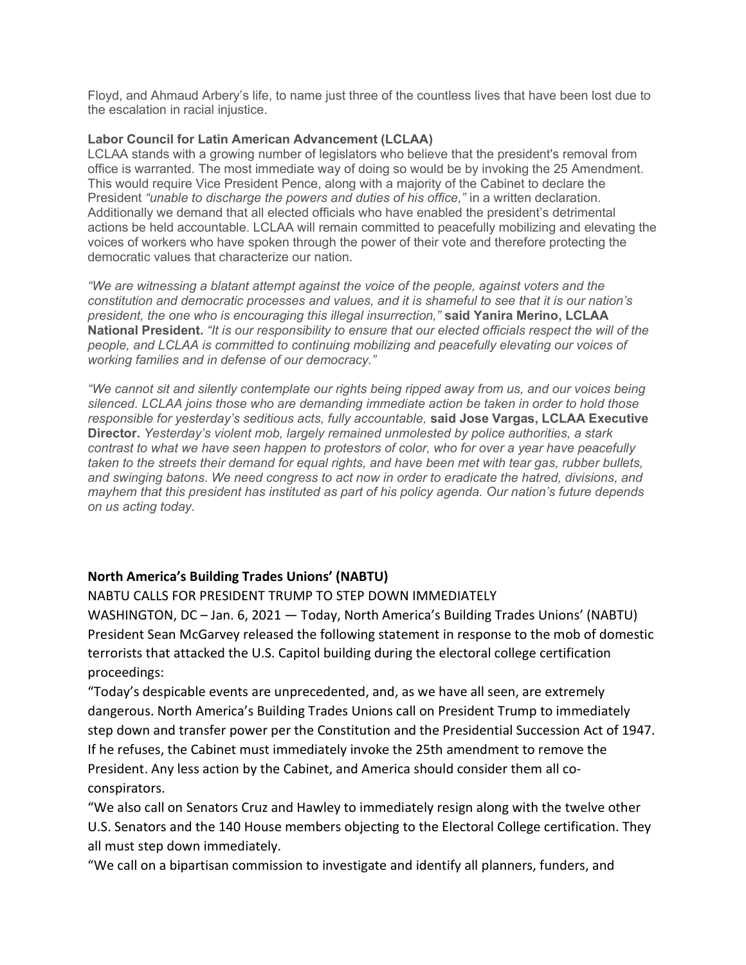Floyd, and Ahmaud Arbery's life, to name just three of the countless lives that have been lost due to the escalation in racial injustice.

#### Labor Council for Latin American Advancement (LCLAA)

LCLAA stands with a growing number of legislators who believe that the president's removal from office is warranted. The most immediate way of doing so would be by invoking the 25 Amendment. This would require Vice President Pence, along with a majority of the Cabinet to declare the President "unable to discharge the powers and duties of his office," in a written declaration. Additionally we demand that all elected officials who have enabled the president's detrimental actions be held accountable. LCLAA will remain committed to peacefully mobilizing and elevating the voices of workers who have spoken through the power of their vote and therefore protecting the democratic values that characterize our nation.

"We are witnessing a blatant attempt against the voice of the people, against voters and the constitution and democratic processes and values, and it is shameful to see that it is our nation's president, the one who is encouraging this illegal insurrection," said Yanira Merino, LCLAA National President. "It is our responsibility to ensure that our elected officials respect the will of the people, and LCLAA is committed to continuing mobilizing and peacefully elevating our voices of working families and in defense of our democracy."

"We cannot sit and silently contemplate our rights being ripped away from us, and our voices being silenced. LCLAA joins those who are demanding immediate action be taken in order to hold those responsible for yesterday's seditious acts, fully accountable, said Jose Vargas, LCLAA Executive Director. Yesterday's violent mob, largely remained unmolested by police authorities, a stark contrast to what we have seen happen to protestors of color, who for over a year have peacefully taken to the streets their demand for equal rights, and have been met with tear gas, rubber bullets, and swinging batons. We need congress to act now in order to eradicate the hatred, divisions, and mayhem that this president has instituted as part of his policy agenda. Our nation's future depends on us acting today.

#### North America's Building Trades Unions' (NABTU)

NABTU CALLS FOR PRESIDENT TRUMP TO STEP DOWN IMMEDIATELY

WASHINGTON, DC – Jan. 6, 2021 — Today, North America's Building Trades Unions' (NABTU) President Sean McGarvey released the following statement in response to the mob of domestic terrorists that attacked the U.S. Capitol building during the electoral college certification proceedings:

"Today's despicable events are unprecedented, and, as we have all seen, are extremely dangerous. North America's Building Trades Unions call on President Trump to immediately step down and transfer power per the Constitution and the Presidential Succession Act of 1947. If he refuses, the Cabinet must immediately invoke the 25th amendment to remove the President. Any less action by the Cabinet, and America should consider them all coconspirators.

"We also call on Senators Cruz and Hawley to immediately resign along with the twelve other U.S. Senators and the 140 House members objecting to the Electoral College certification. They all must step down immediately.

"We call on a bipartisan commission to investigate and identify all planners, funders, and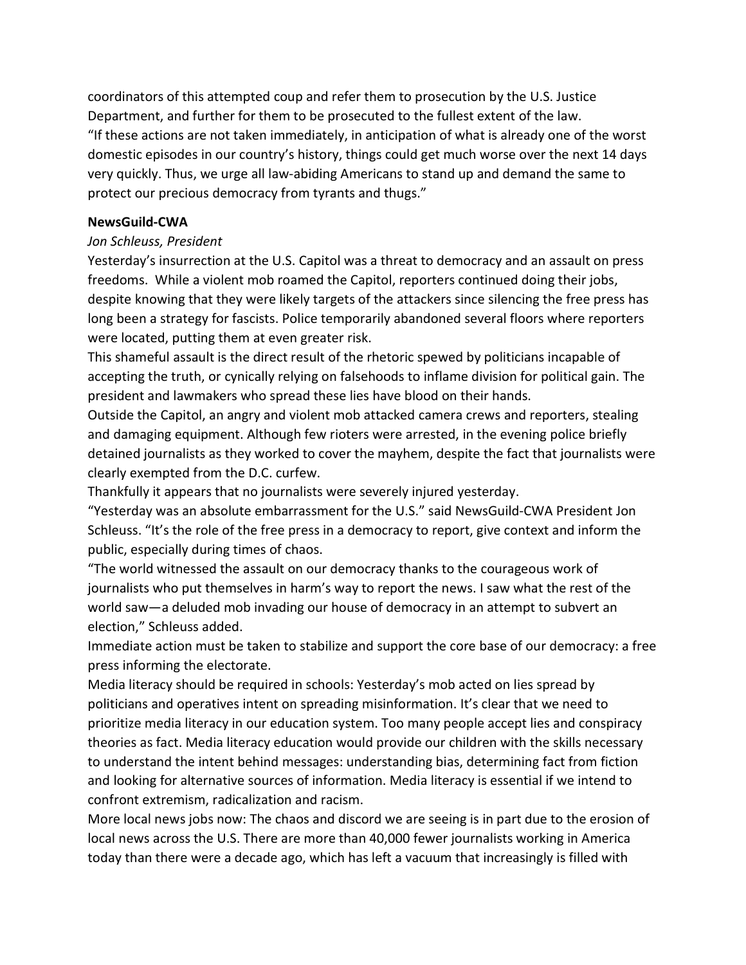coordinators of this attempted coup and refer them to prosecution by the U.S. Justice Department, and further for them to be prosecuted to the fullest extent of the law. "If these actions are not taken immediately, in anticipation of what is already one of the worst domestic episodes in our country's history, things could get much worse over the next 14 days very quickly. Thus, we urge all law-abiding Americans to stand up and demand the same to protect our precious democracy from tyrants and thugs."

#### NewsGuild-CWA

#### Jon Schleuss, President

Yesterday's insurrection at the U.S. Capitol was a threat to democracy and an assault on press freedoms. While a violent mob roamed the Capitol, reporters continued doing their jobs, despite knowing that they were likely targets of the attackers since silencing the free press has long been a strategy for fascists. Police temporarily abandoned several floors where reporters were located, putting them at even greater risk.

This shameful assault is the direct result of the rhetoric spewed by politicians incapable of accepting the truth, or cynically relying on falsehoods to inflame division for political gain. The president and lawmakers who spread these lies have blood on their hands.

Outside the Capitol, an angry and violent mob attacked camera crews and reporters, stealing and damaging equipment. Although few rioters were arrested, in the evening police briefly detained journalists as they worked to cover the mayhem, despite the fact that journalists were clearly exempted from the D.C. curfew.

Thankfully it appears that no journalists were severely injured yesterday.

"Yesterday was an absolute embarrassment for the U.S." said NewsGuild-CWA President Jon Schleuss. "It's the role of the free press in a democracy to report, give context and inform the public, especially during times of chaos.

"The world witnessed the assault on our democracy thanks to the courageous work of journalists who put themselves in harm's way to report the news. I saw what the rest of the world saw—a deluded mob invading our house of democracy in an attempt to subvert an election," Schleuss added.

Immediate action must be taken to stabilize and support the core base of our democracy: a free press informing the electorate.

Media literacy should be required in schools: Yesterday's mob acted on lies spread by politicians and operatives intent on spreading misinformation. It's clear that we need to prioritize media literacy in our education system. Too many people accept lies and conspiracy theories as fact. Media literacy education would provide our children with the skills necessary to understand the intent behind messages: understanding bias, determining fact from fiction and looking for alternative sources of information. Media literacy is essential if we intend to confront extremism, radicalization and racism.

More local news jobs now: The chaos and discord we are seeing is in part due to the erosion of local news across the U.S. There are more than 40,000 fewer journalists working in America today than there were a decade ago, which has left a vacuum that increasingly is filled with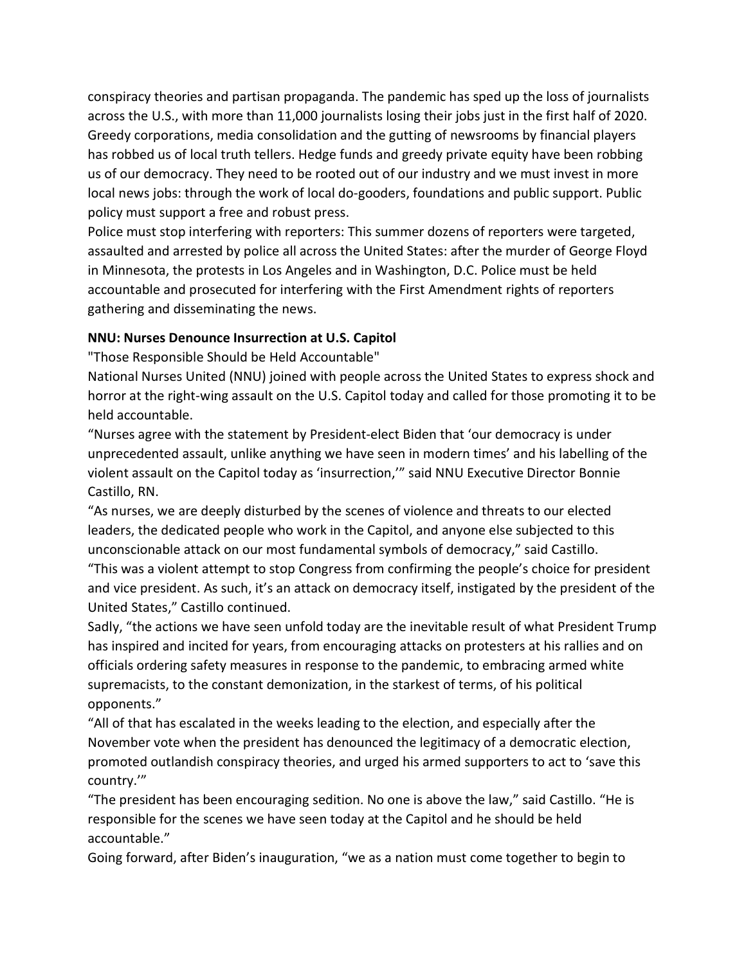conspiracy theories and partisan propaganda. The pandemic has sped up the loss of journalists across the U.S., with more than 11,000 journalists losing their jobs just in the first half of 2020. Greedy corporations, media consolidation and the gutting of newsrooms by financial players has robbed us of local truth tellers. Hedge funds and greedy private equity have been robbing us of our democracy. They need to be rooted out of our industry and we must invest in more local news jobs: through the work of local do-gooders, foundations and public support. Public policy must support a free and robust press.

Police must stop interfering with reporters: This summer dozens of reporters were targeted, assaulted and arrested by police all across the United States: after the murder of George Floyd in Minnesota, the protests in Los Angeles and in Washington, D.C. Police must be held accountable and prosecuted for interfering with the First Amendment rights of reporters gathering and disseminating the news.

### NNU: Nurses Denounce Insurrection at U.S. Capitol

"Those Responsible Should be Held Accountable"

National Nurses United (NNU) joined with people across the United States to express shock and horror at the right-wing assault on the U.S. Capitol today and called for those promoting it to be held accountable.

"Nurses agree with the statement by President-elect Biden that 'our democracy is under unprecedented assault, unlike anything we have seen in modern times' and his labelling of the violent assault on the Capitol today as 'insurrection,'" said NNU Executive Director Bonnie Castillo, RN.

"As nurses, we are deeply disturbed by the scenes of violence and threats to our elected leaders, the dedicated people who work in the Capitol, and anyone else subjected to this unconscionable attack on our most fundamental symbols of democracy," said Castillo.

"This was a violent attempt to stop Congress from confirming the people's choice for president and vice president. As such, it's an attack on democracy itself, instigated by the president of the United States," Castillo continued.

Sadly, "the actions we have seen unfold today are the inevitable result of what President Trump has inspired and incited for years, from encouraging attacks on protesters at his rallies and on officials ordering safety measures in response to the pandemic, to embracing armed white supremacists, to the constant demonization, in the starkest of terms, of his political opponents."

"All of that has escalated in the weeks leading to the election, and especially after the November vote when the president has denounced the legitimacy of a democratic election, promoted outlandish conspiracy theories, and urged his armed supporters to act to 'save this country.'"

"The president has been encouraging sedition. No one is above the law," said Castillo. "He is responsible for the scenes we have seen today at the Capitol and he should be held accountable."

Going forward, after Biden's inauguration, "we as a nation must come together to begin to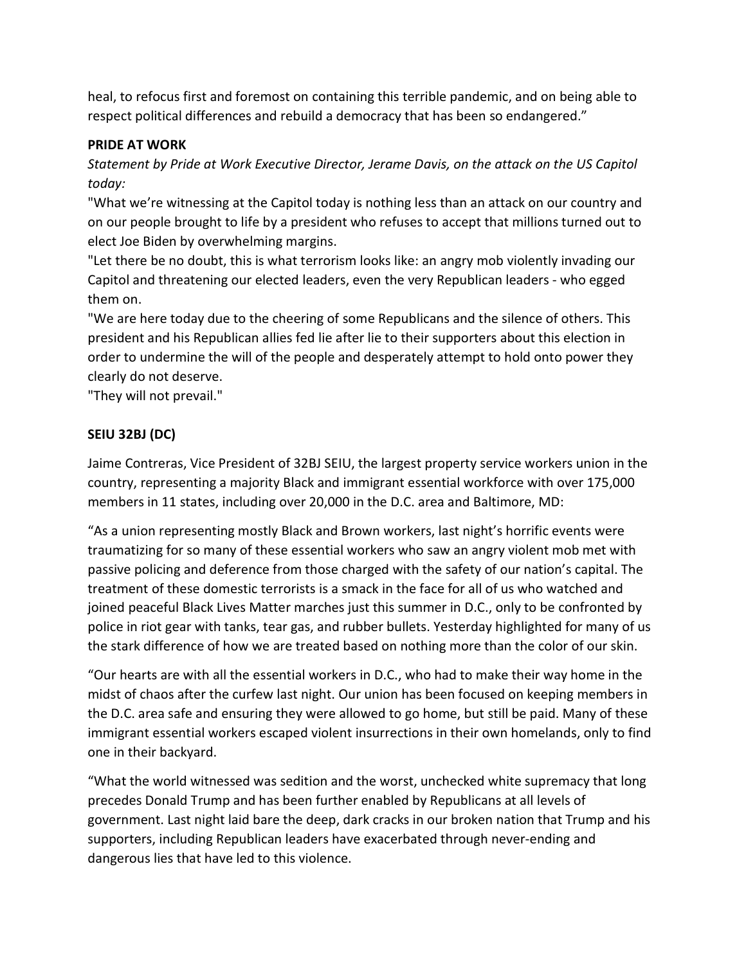heal, to refocus first and foremost on containing this terrible pandemic, and on being able to respect political differences and rebuild a democracy that has been so endangered."

#### PRIDE AT WORK

Statement by Pride at Work Executive Director, Jerame Davis, on the attack on the US Capitol today:

"What we're witnessing at the Capitol today is nothing less than an attack on our country and on our people brought to life by a president who refuses to accept that millions turned out to elect Joe Biden by overwhelming margins.

"Let there be no doubt, this is what terrorism looks like: an angry mob violently invading our Capitol and threatening our elected leaders, even the very Republican leaders - who egged them on.

"We are here today due to the cheering of some Republicans and the silence of others. This president and his Republican allies fed lie after lie to their supporters about this election in order to undermine the will of the people and desperately attempt to hold onto power they clearly do not deserve.

"They will not prevail."

# SEIU 32BJ (DC)

Jaime Contreras, Vice President of 32BJ SEIU, the largest property service workers union in the country, representing a majority Black and immigrant essential workforce with over 175,000 members in 11 states, including over 20,000 in the D.C. area and Baltimore, MD:

"As a union representing mostly Black and Brown workers, last night's horrific events were traumatizing for so many of these essential workers who saw an angry violent mob met with passive policing and deference from those charged with the safety of our nation's capital. The treatment of these domestic terrorists is a smack in the face for all of us who watched and joined peaceful Black Lives Matter marches just this summer in D.C., only to be confronted by police in riot gear with tanks, tear gas, and rubber bullets. Yesterday highlighted for many of us the stark difference of how we are treated based on nothing more than the color of our skin.

"Our hearts are with all the essential workers in D.C., who had to make their way home in the midst of chaos after the curfew last night. Our union has been focused on keeping members in the D.C. area safe and ensuring they were allowed to go home, but still be paid. Many of these immigrant essential workers escaped violent insurrections in their own homelands, only to find one in their backyard.

"What the world witnessed was sedition and the worst, unchecked white supremacy that long precedes Donald Trump and has been further enabled by Republicans at all levels of government. Last night laid bare the deep, dark cracks in our broken nation that Trump and his supporters, including Republican leaders have exacerbated through never-ending and dangerous lies that have led to this violence.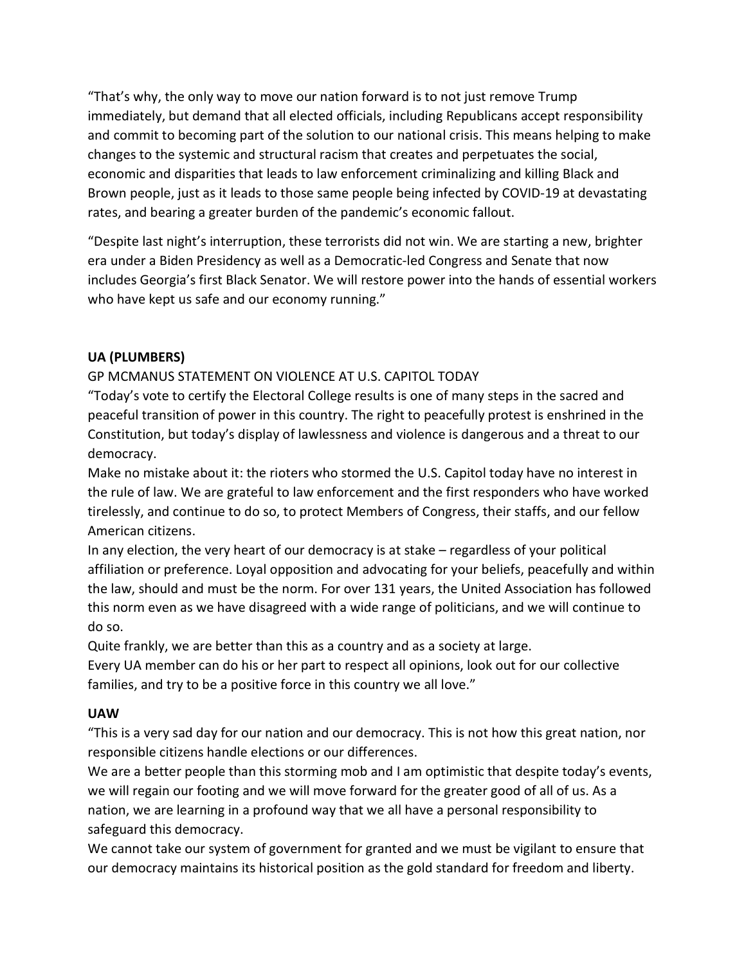"That's why, the only way to move our nation forward is to not just remove Trump immediately, but demand that all elected officials, including Republicans accept responsibility and commit to becoming part of the solution to our national crisis. This means helping to make changes to the systemic and structural racism that creates and perpetuates the social, economic and disparities that leads to law enforcement criminalizing and killing Black and Brown people, just as it leads to those same people being infected by COVID-19 at devastating rates, and bearing a greater burden of the pandemic's economic fallout.

"Despite last night's interruption, these terrorists did not win. We are starting a new, brighter era under a Biden Presidency as well as a Democratic-led Congress and Senate that now includes Georgia's first Black Senator. We will restore power into the hands of essential workers who have kept us safe and our economy running."

# UA (PLUMBERS)

### GP MCMANUS STATEMENT ON VIOLENCE AT U.S. CAPITOL TODAY

"Today's vote to certify the Electoral College results is one of many steps in the sacred and peaceful transition of power in this country. The right to peacefully protest is enshrined in the Constitution, but today's display of lawlessness and violence is dangerous and a threat to our democracy.

Make no mistake about it: the rioters who stormed the U.S. Capitol today have no interest in the rule of law. We are grateful to law enforcement and the first responders who have worked tirelessly, and continue to do so, to protect Members of Congress, their staffs, and our fellow American citizens.

In any election, the very heart of our democracy is at stake – regardless of your political affiliation or preference. Loyal opposition and advocating for your beliefs, peacefully and within the law, should and must be the norm. For over 131 years, the United Association has followed this norm even as we have disagreed with a wide range of politicians, and we will continue to do so.

Quite frankly, we are better than this as a country and as a society at large. Every UA member can do his or her part to respect all opinions, look out for our collective families, and try to be a positive force in this country we all love."

### UAW

"This is a very sad day for our nation and our democracy. This is not how this great nation, nor responsible citizens handle elections or our differences.

We are a better people than this storming mob and I am optimistic that despite today's events, we will regain our footing and we will move forward for the greater good of all of us. As a nation, we are learning in a profound way that we all have a personal responsibility to safeguard this democracy.

We cannot take our system of government for granted and we must be vigilant to ensure that our democracy maintains its historical position as the gold standard for freedom and liberty.